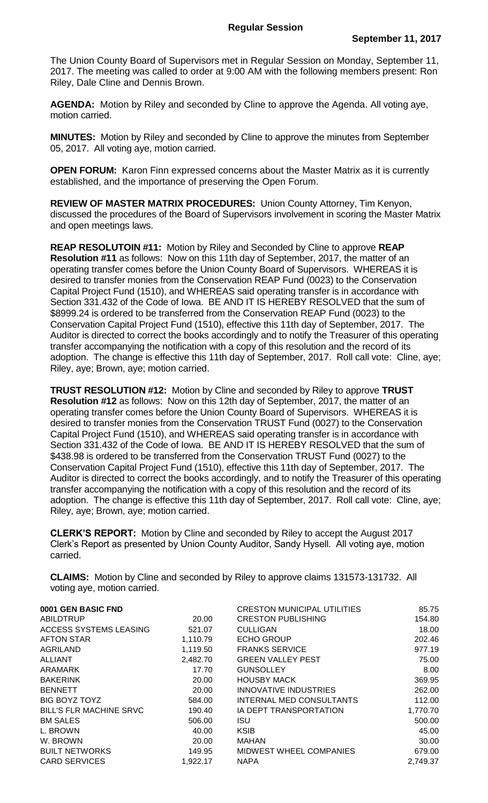The Union County Board of Supervisors met in Regular Session on Monday, September 11, 2017. The meeting was called to order at 9:00 AM with the following members present: Ron Riley, Dale Cline and Dennis Brown.

**AGENDA:** Motion by Riley and seconded by Cline to approve the Agenda. All voting aye, motion carried.

**MINUTES:** Motion by Riley and seconded by Cline to approve the minutes from September 05, 2017. All voting aye, motion carried.

**OPEN FORUM:** Karon Finn expressed concerns about the Master Matrix as it is currently established, and the importance of preserving the Open Forum.

**REVIEW OF MASTER MATRIX PROCEDURES:** Union County Attorney, Tim Kenyon, discussed the procedures of the Board of Supervisors involvement in scoring the Master Matrix and open meetings laws.

**REAP RESOLUTOIN #11:** Motion by Riley and Seconded by Cline to approve **REAP Resolution #11** as follows: Now on this 11th day of September, 2017, the matter of an operating transfer comes before the Union County Board of Supervisors. WHEREAS it is desired to transfer monies from the Conservation REAP Fund (0023) to the Conservation Capital Project Fund (1510), and WHEREAS said operating transfer is in accordance with Section 331.432 of the Code of Iowa. BE AND IT IS HEREBY RESOLVED that the sum of \$8999.24 is ordered to be transferred from the Conservation REAP Fund (0023) to the Conservation Capital Project Fund (1510), effective this 11th day of September, 2017. The Auditor is directed to correct the books accordingly and to notify the Treasurer of this operating transfer accompanying the notification with a copy of this resolution and the record of its adoption. The change is effective this 11th day of September, 2017. Roll call vote: Cline, aye; Riley, aye; Brown, aye; motion carried.

**TRUST RESOLUTION #12:** Motion by Cline and seconded by Riley to approve **TRUST Resolution #12** as follows: Now on this 12th day of September, 2017, the matter of an operating transfer comes before the Union County Board of Supervisors. WHEREAS it is desired to transfer monies from the Conservation TRUST Fund (0027) to the Conservation Capital Project Fund (1510), and WHEREAS said operating transfer is in accordance with Section 331.432 of the Code of Iowa. BE AND IT IS HEREBY RESOLVED that the sum of \$438.98 is ordered to be transferred from the Conservation TRUST Fund (0027) to the Conservation Capital Project Fund (1510), effective this 11th day of September, 2017. The Auditor is directed to correct the books accordingly, and to notify the Treasurer of this operating transfer accompanying the notification with a copy of this resolution and the record of its adoption. The change is effective this 11th day of September, 2017. Roll call vote: Cline, aye; Riley, aye; Brown, aye; motion carried.

**CLERK'S REPORT:** Motion by Cline and seconded by Riley to accept the August 2017 Clerk's Report as presented by Union County Auditor, Sandy Hysell. All voting aye, motion carried.

**CLAIMS:** Motion by Cline and seconded by Riley to approve claims 131573-131732. All voting aye, motion carried.

| 0001 GEN BASIC FND             |          | <b>CRESTON MUNICIPAL UTILITIES</b> | 85.75    |
|--------------------------------|----------|------------------------------------|----------|
| ABILDTRUP                      | 20.00    | <b>CRESTON PUBLISHING</b>          | 154.80   |
| <b>ACCESS SYSTEMS LEASING</b>  | 521.07   | <b>CULLIGAN</b>                    | 18.00    |
| <b>AFTON STAR</b>              | 1,110.79 | <b>ECHO GROUP</b>                  | 202.46   |
| <b>AGRILAND</b>                | 1,119.50 | <b>FRANKS SERVICE</b>              | 977.19   |
| <b>ALLIANT</b>                 | 2,482.70 | <b>GREEN VALLEY PEST</b>           | 75.00    |
| <b>ARAMARK</b>                 | 17.70    | <b>GUNSOLLEY</b>                   | 8.00     |
| <b>BAKERINK</b>                | 20.00    | <b>HOUSBY MACK</b>                 | 369.95   |
| <b>BENNETT</b>                 | 20.00    | INNOVATIVE INDUSTRIES              | 262.00   |
| BIG BOYZ TOYZ                  | 584.00   | INTERNAL MED CONSULTANTS           | 112.00   |
| <b>BILL'S FLR MACHINE SRVC</b> | 190.40   | <b>IA DEPT TRANSPORTATION</b>      | 1,770.70 |
| <b>BM SALES</b>                | 506.00   | <b>ISU</b>                         | 500.00   |
| L. BROWN                       | 40.00    | <b>KSIB</b>                        | 45.00    |
| W. BROWN                       | 20.00    | <b>MAHAN</b>                       | 30.00    |
| <b>BUILT NETWORKS</b>          | 149.95   | <b>MIDWEST WHEEL COMPANIES</b>     | 679.00   |
| <b>CARD SERVICES</b>           | 1,922.17 | <b>NAPA</b>                        | 2,749.37 |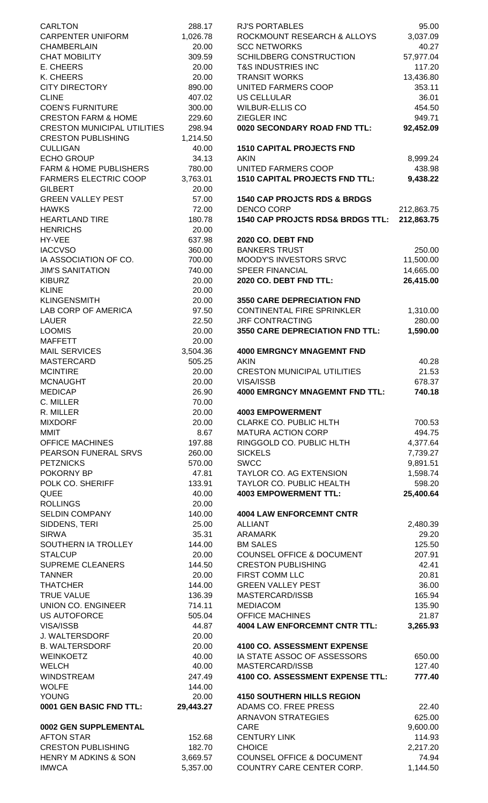| <b>CARLTON</b>                           | 288.17           | <b>RJ'S PORTABLES</b>                                       | 95.00              |
|------------------------------------------|------------------|-------------------------------------------------------------|--------------------|
| <b>CARPENTER UNIFORM</b>                 | 1,026.78         | ROCKMOUNT RESEARCH & ALLOYS                                 | 3,037.09           |
| <b>CHAMBERLAIN</b>                       | 20.00            | <b>SCC NETWORKS</b>                                         | 40.27              |
| <b>CHAT MOBILITY</b>                     | 309.59           | SCHILDBERG CONSTRUCTION                                     | 57,977.04          |
| E. CHEERS                                | 20.00            | <b>T&amp;S INDUSTRIES INC</b>                               | 117.20             |
| K. CHEERS                                | 20.00            | <b>TRANSIT WORKS</b>                                        | 13,436.80          |
| <b>CITY DIRECTORY</b><br><b>CLINE</b>    | 890.00<br>407.02 | UNITED FARMERS COOP<br><b>US CELLULAR</b>                   | 353.11<br>36.01    |
| <b>COEN'S FURNITURE</b>                  | 300.00           | <b>WILBUR-ELLIS CO</b>                                      | 454.50             |
| <b>CRESTON FARM &amp; HOME</b>           | 229.60           | <b>ZIEGLER INC</b>                                          | 949.71             |
| <b>CRESTON MUNICIPAL UTILITIES</b>       | 298.94           | 0020 SECONDARY ROAD FND TTL:                                | 92,452.09          |
| <b>CRESTON PUBLISHING</b>                | 1,214.50         |                                                             |                    |
| <b>CULLIGAN</b>                          | 40.00            | <b>1510 CAPITAL PROJECTS FND</b>                            |                    |
| <b>ECHO GROUP</b>                        | 34.13            | <b>AKIN</b>                                                 | 8,999.24           |
| <b>FARM &amp; HOME PUBLISHERS</b>        | 780.00           | UNITED FARMERS COOP                                         | 438.98             |
| <b>FARMERS ELECTRIC COOP</b>             | 3,763.01         | <b>1510 CAPITAL PROJECTS FND TTL:</b>                       | 9,438.22           |
| <b>GILBERT</b>                           | 20.00            |                                                             |                    |
| <b>GREEN VALLEY PEST</b><br><b>HAWKS</b> | 57.00<br>72.00   | <b>1540 CAP PROJCTS RDS &amp; BRDGS</b><br>DENCO CORP       | 212,863.75         |
| <b>HEARTLAND TIRE</b>                    | 180.78           | <b>1540 CAP PROJCTS RDS&amp; BRDGS TTL:</b>                 | 212,863.75         |
| <b>HENRICHS</b>                          | 20.00            |                                                             |                    |
| HY-VEE                                   | 637.98           | <b>2020 CO. DEBT FND</b>                                    |                    |
| <b>IACCVSO</b>                           | 360.00           | <b>BANKERS TRUST</b>                                        | 250.00             |
| IA ASSOCIATION OF CO.                    | 700.00           | MOODY'S INVESTORS SRVC                                      | 11,500.00          |
| <b>JIM'S SANITATION</b>                  | 740.00           | <b>SPEER FINANCIAL</b>                                      | 14,665.00          |
| <b>KIBURZ</b>                            | 20.00            | 2020 CO. DEBT FND TTL:                                      | 26,415.00          |
| <b>KLINE</b>                             | 20.00            |                                                             |                    |
| <b>KLINGENSMITH</b>                      | 20.00            | <b>3550 CARE DEPRECIATION FND</b>                           |                    |
| LAB CORP OF AMERICA<br><b>LAUER</b>      | 97.50<br>22.50   | <b>CONTINENTAL FIRE SPRINKLER</b><br><b>JRF CONTRACTING</b> | 1,310.00<br>280.00 |
| <b>LOOMIS</b>                            | 20.00            | 3550 CARE DEPRECIATION FND TTL:                             | 1,590.00           |
| <b>MAFFETT</b>                           | 20.00            |                                                             |                    |
| <b>MAIL SERVICES</b>                     | 3,504.36         | <b>4000 EMRGNCY MNAGEMNT FND</b>                            |                    |
| <b>MASTERCARD</b>                        | 505.25           | <b>AKIN</b>                                                 | 40.28              |
| <b>MCINTIRE</b>                          | 20.00            | <b>CRESTON MUNICIPAL UTILITIES</b>                          | 21.53              |
| <b>MCNAUGHT</b>                          | 20.00            | <b>VISA/ISSB</b>                                            | 678.37             |
| <b>MEDICAP</b>                           | 26.90            | <b>4000 EMRGNCY MNAGEMNT FND TTL:</b>                       | 740.18             |
| C. MILLER                                | 70.00            |                                                             |                    |
| R. MILLER                                | 20.00            | <b>4003 EMPOWERMENT</b>                                     |                    |
| <b>MIXDORF</b><br><b>MMIT</b>            | 20.00<br>8.67    | CLARKE CO. PUBLIC HLTH<br><b>MATURA ACTION CORP</b>         | 700.53<br>494.75   |
| <b>OFFICE MACHINES</b>                   | 197.88           | RINGGOLD CO. PUBLIC HLTH                                    | 4,377.64           |
| PEARSON FUNERAL SRVS                     | 260.00           | <b>SICKELS</b>                                              | 7,739.27           |
| <b>PETZNICKS</b>                         | 570.00           | <b>SWCC</b>                                                 | 9,891.51           |
| POKORNY BP                               | 47.81            | TAYLOR CO. AG EXTENSION                                     | 1,598.74           |
| POLK CO. SHERIFF                         | 133.91           | TAYLOR CO. PUBLIC HEALTH                                    | 598.20             |
| <b>QUEE</b>                              | 40.00            | <b>4003 EMPOWERMENT TTL:</b>                                | 25,400.64          |
| <b>ROLLINGS</b>                          | 20.00            |                                                             |                    |
| <b>SELDIN COMPANY</b>                    | 140.00           | <b>4004 LAW ENFORCEMNT CNTR</b>                             |                    |
| SIDDENS, TERI                            | 25.00            | <b>ALLIANT</b>                                              | 2,480.39           |
| <b>SIRWA</b>                             | 35.31            | <b>ARAMARK</b>                                              | 29.20              |
| SOUTHERN IA TROLLEY<br><b>STALCUP</b>    | 144.00<br>20.00  | <b>BM SALES</b><br><b>COUNSEL OFFICE &amp; DOCUMENT</b>     | 125.50<br>207.91   |
| <b>SUPREME CLEANERS</b>                  | 144.50           | <b>CRESTON PUBLISHING</b>                                   | 42.41              |
| <b>TANNER</b>                            | 20.00            | FIRST COMM LLC                                              | 20.81              |
| <b>THATCHER</b>                          | 144.00           | <b>GREEN VALLEY PEST</b>                                    | 36.00              |
| <b>TRUE VALUE</b>                        | 136.39           | MASTERCARD/ISSB                                             | 165.94             |
| UNION CO. ENGINEER                       | 714.11           | <b>MEDIACOM</b>                                             | 135.90             |
| <b>US AUTOFORCE</b>                      | 505.04           | <b>OFFICE MACHINES</b>                                      | 21.87              |
| VISA/ISSB                                | 44.87            | <b>4004 LAW ENFORCEMNT CNTR TTL:</b>                        | 3,265.93           |
| <b>J. WALTERSDORF</b>                    | 20.00            |                                                             |                    |
| <b>B. WALTERSDORF</b>                    | 20.00            | 4100 CO. ASSESSMENT EXPENSE                                 |                    |
| <b>WEINKOETZ</b>                         | 40.00            | IA STATE ASSOC OF ASSESSORS                                 | 650.00             |
| <b>WELCH</b><br><b>WINDSTREAM</b>        | 40.00<br>247.49  | MASTERCARD/ISSB<br>4100 CO. ASSESSMENT EXPENSE TTL:         | 127.40<br>777.40   |
| <b>WOLFE</b>                             | 144.00           |                                                             |                    |
| <b>YOUNG</b>                             | 20.00            | <b>4150 SOUTHERN HILLS REGION</b>                           |                    |
| 0001 GEN BASIC FND TTL:                  | 29,443.27        | ADAMS CO. FREE PRESS                                        | 22.40              |
|                                          |                  | <b>ARNAVON STRATEGIES</b>                                   | 625.00             |
| 0002 GEN SUPPLEMENTAL                    |                  | <b>CARE</b>                                                 | 9,600.00           |
| <b>AFTON STAR</b>                        | 152.68           | <b>CENTURY LINK</b>                                         | 114.93             |
| <b>CRESTON PUBLISHING</b>                | 182.70           | <b>CHOICE</b>                                               | 2,217.20           |
| HENRY M ADKINS & SON                     | 3,669.57         | <b>COUNSEL OFFICE &amp; DOCUMENT</b>                        | 74.94              |
| <b>IMWCA</b>                             | 5,357.00         | COUNTRY CARE CENTER CORP.                                   | 1,144.50           |